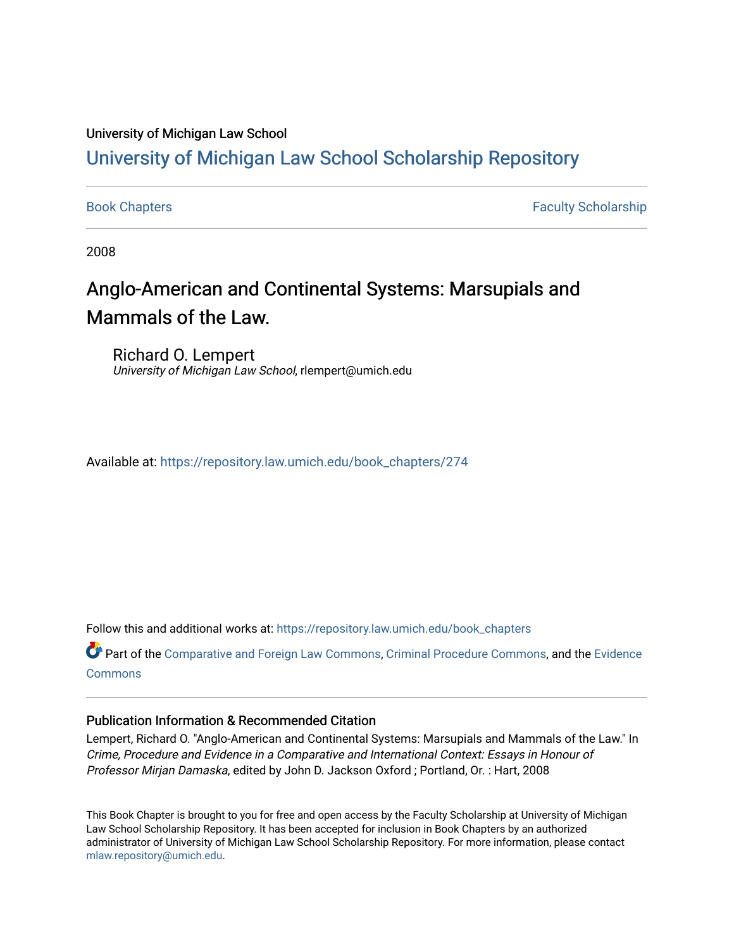#### University of Michigan Law School

### [University of Michigan Law School Scholarship Repository](https://repository.law.umich.edu/)

[Book Chapters](https://repository.law.umich.edu/book_chapters) [Faculty Scholarship](https://repository.law.umich.edu/faculty_scholarship) Faculty Scholarship

2008

# Anglo-American and Continental Systems: Marsupials and Mammals of the Law.

Richard O. Lempert University of Michigan Law School, rlempert@umich.edu

Available at: [https://repository.law.umich.edu/book\\_chapters/274](https://repository.law.umich.edu/book_chapters/274) 

Follow this and additional works at: [https://repository.law.umich.edu/book\\_chapters](https://repository.law.umich.edu/book_chapters?utm_source=repository.law.umich.edu%2Fbook_chapters%2F274&utm_medium=PDF&utm_campaign=PDFCoverPages)

Part of the [Comparative and Foreign Law Commons,](http://network.bepress.com/hgg/discipline/836?utm_source=repository.law.umich.edu%2Fbook_chapters%2F274&utm_medium=PDF&utm_campaign=PDFCoverPages) [Criminal Procedure Commons,](http://network.bepress.com/hgg/discipline/1073?utm_source=repository.law.umich.edu%2Fbook_chapters%2F274&utm_medium=PDF&utm_campaign=PDFCoverPages) and the [Evidence](http://network.bepress.com/hgg/discipline/601?utm_source=repository.law.umich.edu%2Fbook_chapters%2F274&utm_medium=PDF&utm_campaign=PDFCoverPages)  **[Commons](http://network.bepress.com/hgg/discipline/601?utm_source=repository.law.umich.edu%2Fbook_chapters%2F274&utm_medium=PDF&utm_campaign=PDFCoverPages)** 

### Publication Information & Recommended Citation

Lempert, Richard O. "Anglo-American and Continental Systems: Marsupials and Mammals of the Law." In Crime, Procedure and Evidence in a Comparative and International Context: Essays in Honour of Professor Mirjan Damaska, edited by John D. Jackson Oxford ; Portland, Or. : Hart, 2008

This Book Chapter is brought to you for free and open access by the Faculty Scholarship at University of Michigan Law School Scholarship Repository. It has been accepted for inclusion in Book Chapters by an authorized administrator of University of Michigan Law School Scholarship Repository. For more information, please contact [mlaw.repository@umich.edu.](mailto:mlaw.repository@umich.edu)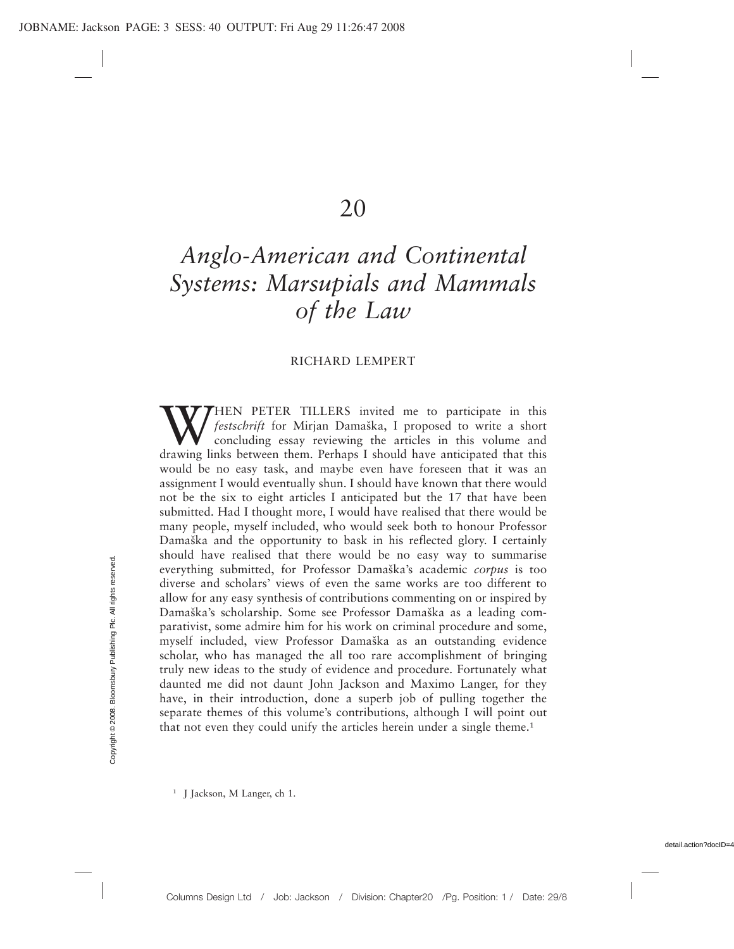## 20

# *Anglo-American and Continental Systems: Marsupials and Mammals of the Law*

#### RICHARD LEMPERT

WHEN PETER TILLERS invited me to participate in this *festschrift* for Mirjan Damaška, I proposed to write a short concluding essay reviewing the articles in this volume and drawing links between them Perhans I should have *festschrift* for Mirjan Damaška, I proposed to write a short concluding essay reviewing the articles in this volume and drawing links between them. Perhaps I should have anticipated that this would be no easy task, and maybe even have foreseen that it was an assignment I would eventually shun. I should have known that there would not be the six to eight articles I anticipated but the 17 that have been submitted. Had I thought more, I would have realised that there would be many people, myself included, who would seek both to honour Professor Damaška and the opportunity to bask in his reflected glory. I certainly should have realised that there would be no easy way to summarise everything submitted, for Professor Damaška's academic *corpus* is too diverse and scholars' views of even the same works are too different to allow for any easy synthesis of contributions commenting on or inspired by Damaška's scholarship. Some see Professor Damaška as a leading comparativist, some admire him for his work on criminal procedure and some, myself included, view Professor Damaška as an outstanding evidence scholar, who has managed the all too rare accomplishment of bringing truly new ideas to the study of evidence and procedure. Fortunately what daunted me did not daunt John Jackson and Maximo Langer, for they have, in their introduction, done a superb job of pulling together the separate themes of this volume's contributions, although I will point out that not even they could unify the articles herein under a single theme.1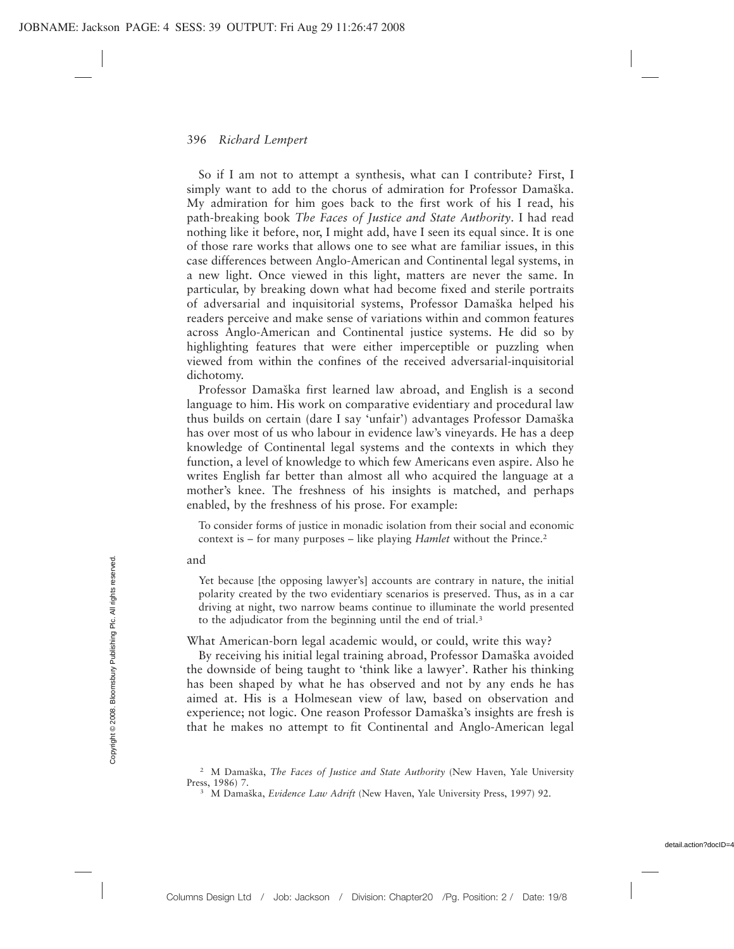So if I am not to attempt a synthesis, what can I contribute? First, I simply want to add to the chorus of admiration for Professor Damaška. My admiration for him goes back to the first work of his I read, his path-breaking book *The Faces of Justice and State Authority*. I had read nothing like it before, nor, I might add, have I seen its equal since. It is one of those rare works that allows one to see what are familiar issues, in this case differences between Anglo-American and Continental legal systems, in a new light. Once viewed in this light, matters are never the same. In particular, by breaking down what had become fixed and sterile portraits of adversarial and inquisitorial systems, Professor Damaška helped his readers perceive and make sense of variations within and common features across Anglo-American and Continental justice systems. He did so by highlighting features that were either imperceptible or puzzling when viewed from within the confines of the received adversarial-inquisitorial dichotomy.

Professor Damaška first learned law abroad, and English is a second language to him. His work on comparative evidentiary and procedural law thus builds on certain (dare I say 'unfair') advantages Professor Damaška has over most of us who labour in evidence law's vineyards. He has a deep knowledge of Continental legal systems and the contexts in which they function, a level of knowledge to which few Americans even aspire. Also he writes English far better than almost all who acquired the language at a mother's knee. The freshness of his insights is matched, and perhaps enabled, by the freshness of his prose. For example:

To consider forms of justice in monadic isolation from their social and economic context is – for many purposes – like playing *Hamlet* without the Prince.2

and

Yet because [the opposing lawyer's] accounts are contrary in nature, the initial polarity created by the two evidentiary scenarios is preserved. Thus, as in a car driving at night, two narrow beams continue to illuminate the world presented to the adjudicator from the beginning until the end of trial.3

What American-born legal academic would, or could, write this way?

By receiving his initial legal training abroad, Professor Damaška avoided the downside of being taught to 'think like a lawyer'. Rather his thinking has been shaped by what he has observed and not by any ends he has aimed at. His is a Holmesean view of law, based on observation and experience; not logic. One reason Professor Damaška's insights are fresh is that he makes no attempt to fit Continental and Anglo-American legal

<sup>2</sup> M Damaška, *The Faces of Justice and State Authority* (New Haven, Yale University Press, 1986) 7.

<sup>3</sup> M Damaška, *Evidence Law Adrift* (New Haven, Yale University Press, 1997) 92.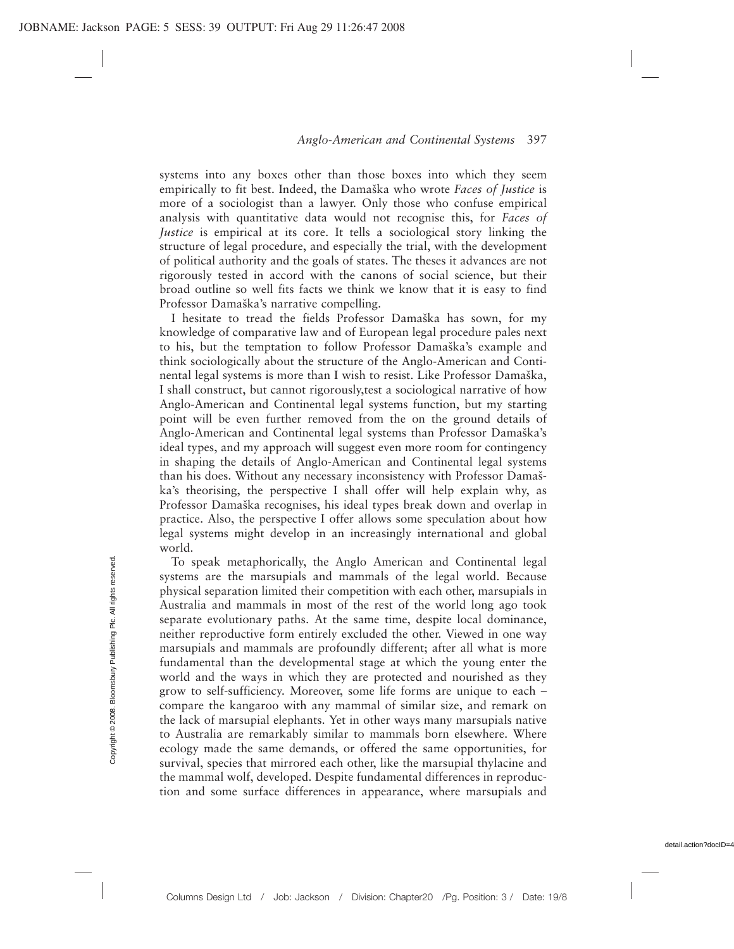systems into any boxes other than those boxes into which they seem empirically to fit best. Indeed, the Damaška who wrote *Faces of Justice* is more of a sociologist than a lawyer. Only those who confuse empirical analysis with quantitative data would not recognise this, for *Faces of Justice* is empirical at its core. It tells a sociological story linking the structure of legal procedure, and especially the trial, with the development of political authority and the goals of states. The theses it advances are not rigorously tested in accord with the canons of social science, but their broad outline so well fits facts we think we know that it is easy to find Professor Damaška's narrative compelling.

I hesitate to tread the fields Professor Damaška has sown, for my knowledge of comparative law and of European legal procedure pales next to his, but the temptation to follow Professor Damaška's example and think sociologically about the structure of the Anglo-American and Continental legal systems is more than I wish to resist. Like Professor Damaška, I shall construct, but cannot rigorously,test a sociological narrative of how Anglo-American and Continental legal systems function, but my starting point will be even further removed from the on the ground details of Anglo-American and Continental legal systems than Professor Damaška's ideal types, and my approach will suggest even more room for contingency in shaping the details of Anglo-American and Continental legal systems than his does. Without any necessary inconsistency with Professor Damaška's theorising, the perspective I shall offer will help explain why, as Professor Damaška recognises, his ideal types break down and overlap in practice. Also, the perspective I offer allows some speculation about how legal systems might develop in an increasingly international and global world.

To speak metaphorically, the Anglo American and Continental legal systems are the marsupials and mammals of the legal world. Because physical separation limited their competition with each other, marsupials in Australia and mammals in most of the rest of the world long ago took separate evolutionary paths. At the same time, despite local dominance, neither reproductive form entirely excluded the other. Viewed in one way marsupials and mammals are profoundly different; after all what is more fundamental than the developmental stage at which the young enter the world and the ways in which they are protected and nourished as they grow to self-sufficiency. Moreover, some life forms are unique to each – compare the kangaroo with any mammal of similar size, and remark on the lack of marsupial elephants. Yet in other ways many marsupials native to Australia are remarkably similar to mammals born elsewhere. Where ecology made the same demands, or offered the same opportunities, for survival, species that mirrored each other, like the marsupial thylacine and the mammal wolf, developed. Despite fundamental differences in reproduction and some surface differences in appearance, where marsupials and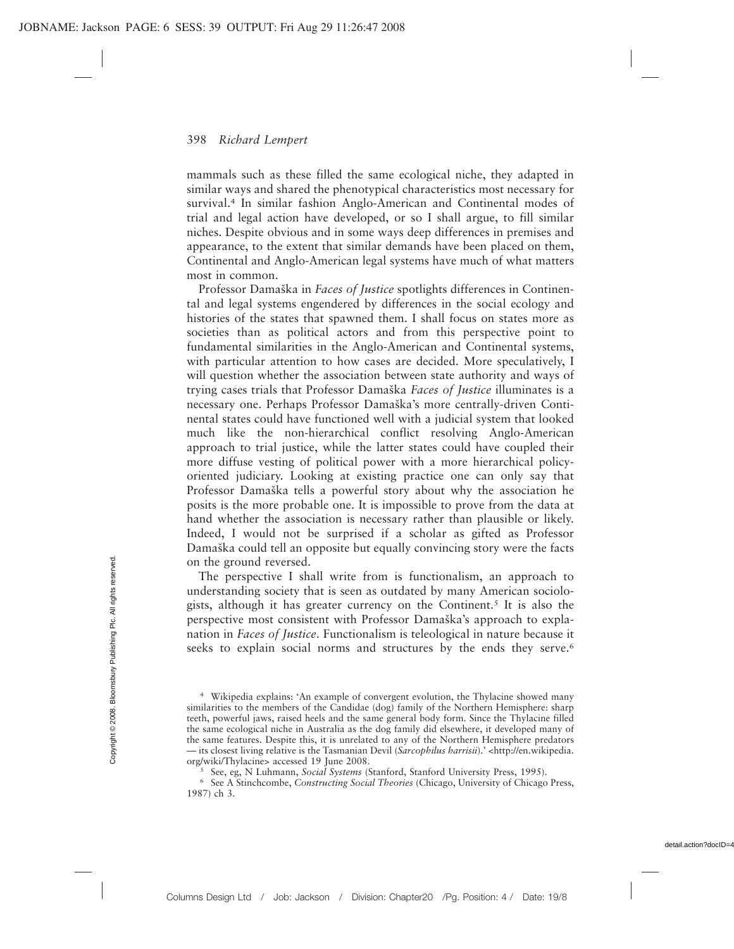mammals such as these filled the same ecological niche, they adapted in similar ways and shared the phenotypical characteristics most necessary for survival.4 In similar fashion Anglo-American and Continental modes of trial and legal action have developed, or so I shall argue, to fill similar niches. Despite obvious and in some ways deep differences in premises and appearance, to the extent that similar demands have been placed on them, Continental and Anglo-American legal systems have much of what matters most in common.

Professor Damaška in *Faces of Justice* spotlights differences in Continental and legal systems engendered by differences in the social ecology and histories of the states that spawned them. I shall focus on states more as societies than as political actors and from this perspective point to fundamental similarities in the Anglo-American and Continental systems, with particular attention to how cases are decided. More speculatively, I will question whether the association between state authority and ways of trying cases trials that Professor Damaška *Faces of Justice* illuminates is a necessary one. Perhaps Professor Damaška's more centrally-driven Continental states could have functioned well with a judicial system that looked much like the non-hierarchical conflict resolving Anglo-American approach to trial justice, while the latter states could have coupled their more diffuse vesting of political power with a more hierarchical policyoriented judiciary. Looking at existing practice one can only say that Professor Damaška tells a powerful story about why the association he posits is the more probable one. It is impossible to prove from the data at hand whether the association is necessary rather than plausible or likely. Indeed, I would not be surprised if a scholar as gifted as Professor Damaška could tell an opposite but equally convincing story were the facts on the ground reversed.

The perspective I shall write from is functionalism, an approach to understanding society that is seen as outdated by many American sociologists, although it has greater currency on the Continent.5 It is also the perspective most consistent with Professor Damaška's approach to explanation in *Faces of Justice*. Functionalism is teleological in nature because it seeks to explain social norms and structures by the ends they serve.<sup>6</sup>

<sup>4</sup> Wikipedia explains: 'An example of convergent evolution, the Thylacine showed many similarities to the members of the Candidae (dog) family of the Northern Hemisphere: sharp teeth, powerful jaws, raised heels and the same general body form. Since the Thylacine filled the same ecological niche in Australia as the dog family did elsewhere, it developed many of the same features. Despite this, it is unrelated to any of the Northern Hemisphere predators — its closest living relative is the Tasmanian Devil (*Sarcophilus harrisii*).' <http://en.wikipedia. org/wiki/Thylacine> accessed 19 June 2008.

<sup>5</sup> See, eg, N Luhmann, *Social Systems* (Stanford, Stanford University Press, 1995).

<sup>6</sup> See A Stinchcombe, *Constructing Social Theories* (Chicago, University of Chicago Press, 1987) ch 3.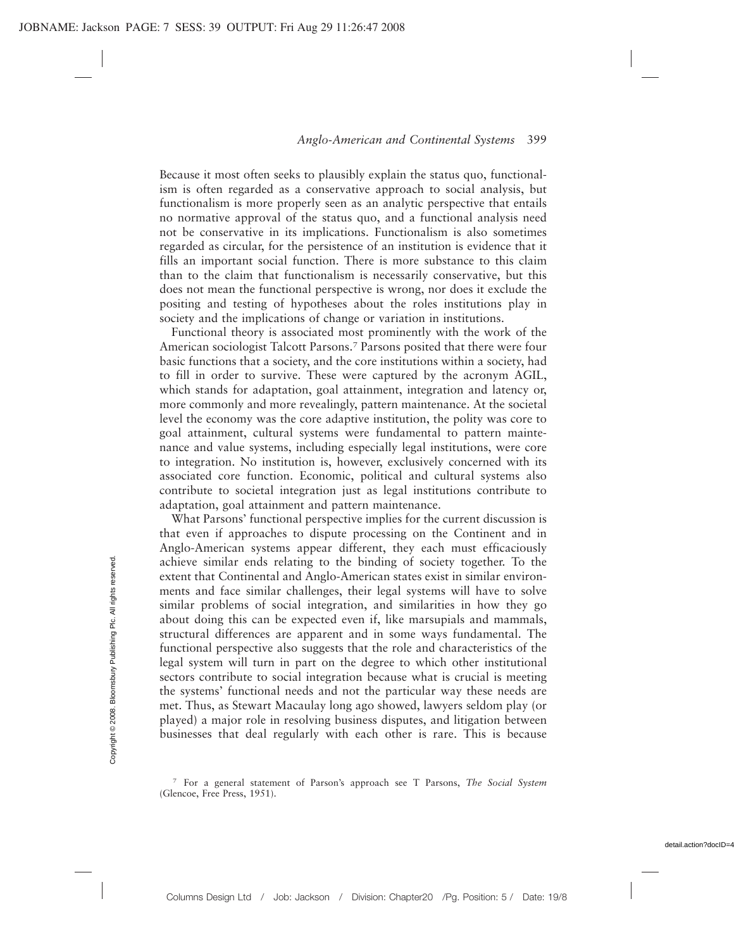Because it most often seeks to plausibly explain the status quo, functionalism is often regarded as a conservative approach to social analysis, but functionalism is more properly seen as an analytic perspective that entails no normative approval of the status quo, and a functional analysis need not be conservative in its implications. Functionalism is also sometimes regarded as circular, for the persistence of an institution is evidence that it fills an important social function. There is more substance to this claim than to the claim that functionalism is necessarily conservative, but this does not mean the functional perspective is wrong, nor does it exclude the positing and testing of hypotheses about the roles institutions play in society and the implications of change or variation in institutions.

Functional theory is associated most prominently with the work of the American sociologist Talcott Parsons.7 Parsons posited that there were four basic functions that a society, and the core institutions within a society, had to fill in order to survive. These were captured by the acronym AGIL, which stands for adaptation, goal attainment, integration and latency or, more commonly and more revealingly, pattern maintenance. At the societal level the economy was the core adaptive institution, the polity was core to goal attainment, cultural systems were fundamental to pattern maintenance and value systems, including especially legal institutions, were core to integration. No institution is, however, exclusively concerned with its associated core function. Economic, political and cultural systems also contribute to societal integration just as legal institutions contribute to adaptation, goal attainment and pattern maintenance.

What Parsons' functional perspective implies for the current discussion is that even if approaches to dispute processing on the Continent and in Anglo-American systems appear different, they each must efficaciously achieve similar ends relating to the binding of society together. To the extent that Continental and Anglo-American states exist in similar environments and face similar challenges, their legal systems will have to solve similar problems of social integration, and similarities in how they go about doing this can be expected even if, like marsupials and mammals, structural differences are apparent and in some ways fundamental. The functional perspective also suggests that the role and characteristics of the legal system will turn in part on the degree to which other institutional sectors contribute to social integration because what is crucial is meeting the systems' functional needs and not the particular way these needs are met. Thus, as Stewart Macaulay long ago showed, lawyers seldom play (or played) a major role in resolving business disputes, and litigation between businesses that deal regularly with each other is rare. This is because

<sup>7</sup> For a general statement of Parson's approach see T Parsons, *The Social System* (Glencoe, Free Press, 1951).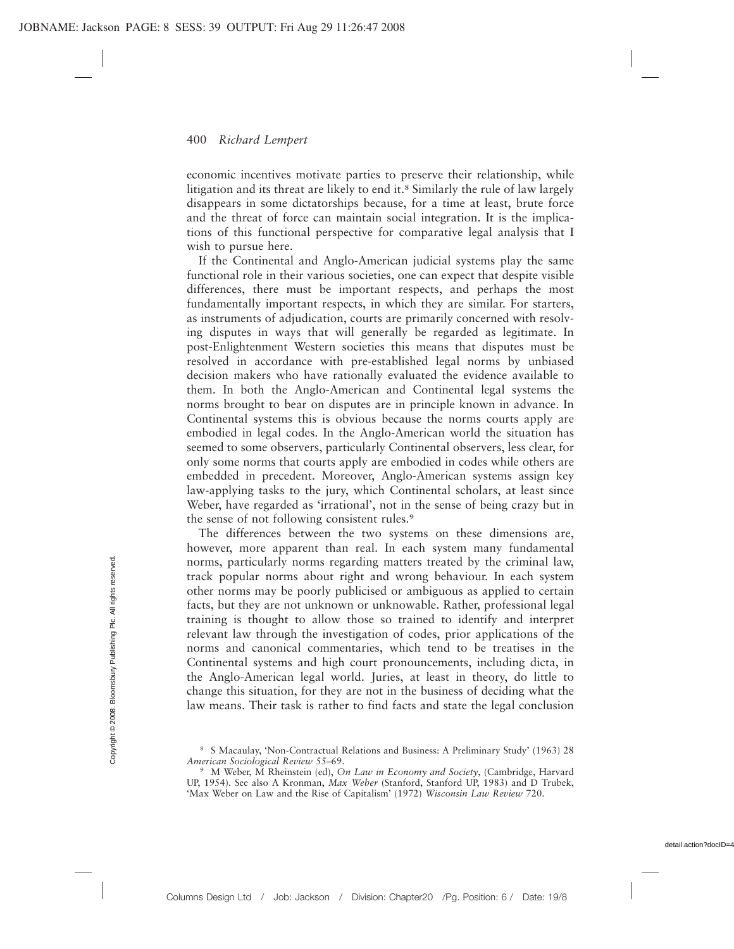economic incentives motivate parties to preserve their relationship, while litigation and its threat are likely to end it.<sup>8</sup> Similarly the rule of law largely disappears in some dictatorships because, for a time at least, brute force and the threat of force can maintain social integration. It is the implications of this functional perspective for comparative legal analysis that I wish to pursue here.

If the Continental and Anglo-American judicial systems play the same functional role in their various societies, one can expect that despite visible differences, there must be important respects, and perhaps the most fundamentally important respects, in which they are similar. For starters, as instruments of adjudication, courts are primarily concerned with resolving disputes in ways that will generally be regarded as legitimate. In post-Enlightenment Western societies this means that disputes must be resolved in accordance with pre-established legal norms by unbiased decision makers who have rationally evaluated the evidence available to them. In both the Anglo-American and Continental legal systems the norms brought to bear on disputes are in principle known in advance. In Continental systems this is obvious because the norms courts apply are embodied in legal codes. In the Anglo-American world the situation has seemed to some observers, particularly Continental observers, less clear, for only some norms that courts apply are embodied in codes while others are embedded in precedent. Moreover, Anglo-American systems assign key law-applying tasks to the jury, which Continental scholars, at least since Weber, have regarded as 'irrational', not in the sense of being crazy but in the sense of not following consistent rules.<sup>9</sup>

The differences between the two systems on these dimensions are, however, more apparent than real. In each system many fundamental norms, particularly norms regarding matters treated by the criminal law, track popular norms about right and wrong behaviour. In each system other norms may be poorly publicised or ambiguous as applied to certain facts, but they are not unknown or unknowable. Rather, professional legal training is thought to allow those so trained to identify and interpret relevant law through the investigation of codes, prior applications of the norms and canonical commentaries, which tend to be treatises in the Continental systems and high court pronouncements, including dicta, in the Anglo-American legal world. Juries, at least in theory, do little to change this situation, for they are not in the business of deciding what the law means. Their task is rather to find facts and state the legal conclusion

<sup>8</sup> S Macaulay, 'Non-Contractual Relations and Business: A Preliminary Study' (1963) 28 *American Sociological Review* 55–69.

<sup>9</sup> M Weber, M Rheinstein (ed), *On Law in Economy and Society*, (Cambridge, Harvard UP, 1954). See also A Kronman, *Max Weber* (Stanford, Stanford UP, 1983) and D Trubek, 'Max Weber on Law and the Rise of Capitalism' (1972) *Wisconsin Law Review* 720.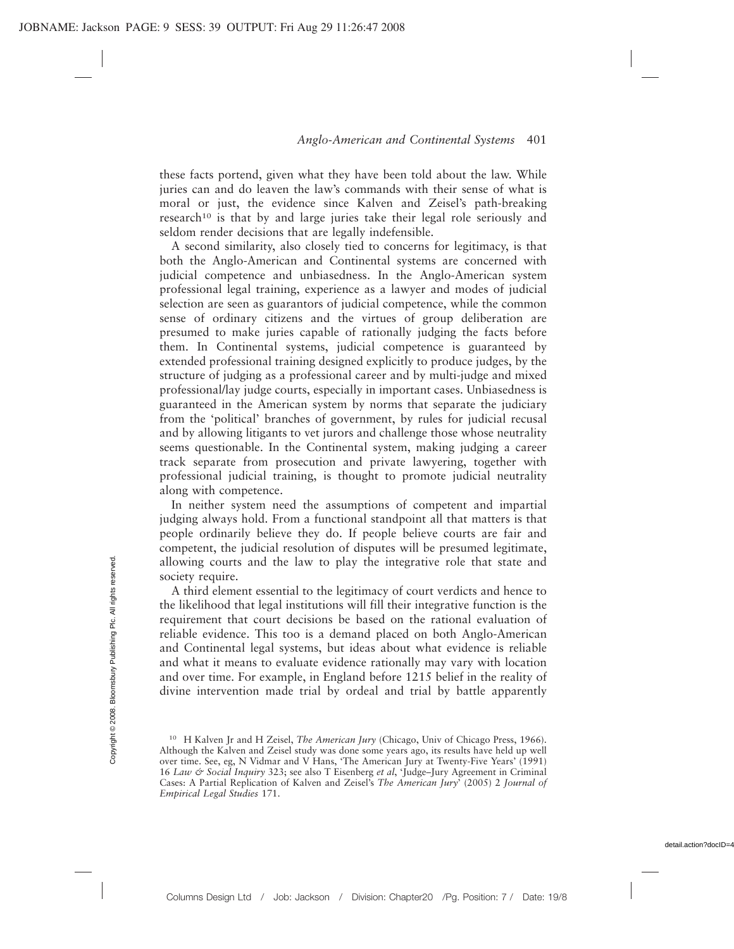these facts portend, given what they have been told about the law. While juries can and do leaven the law's commands with their sense of what is moral or just, the evidence since Kalven and Zeisel's path-breaking research<sup>10</sup> is that by and large juries take their legal role seriously and seldom render decisions that are legally indefensible.

A second similarity, also closely tied to concerns for legitimacy, is that both the Anglo-American and Continental systems are concerned with judicial competence and unbiasedness. In the Anglo-American system professional legal training, experience as a lawyer and modes of judicial selection are seen as guarantors of judicial competence, while the common sense of ordinary citizens and the virtues of group deliberation are presumed to make juries capable of rationally judging the facts before them. In Continental systems, judicial competence is guaranteed by extended professional training designed explicitly to produce judges, by the structure of judging as a professional career and by multi-judge and mixed professional/lay judge courts, especially in important cases. Unbiasedness is guaranteed in the American system by norms that separate the judiciary from the 'political' branches of government, by rules for judicial recusal and by allowing litigants to vet jurors and challenge those whose neutrality seems questionable. In the Continental system, making judging a career track separate from prosecution and private lawyering, together with professional judicial training, is thought to promote judicial neutrality along with competence.

In neither system need the assumptions of competent and impartial judging always hold. From a functional standpoint all that matters is that people ordinarily believe they do. If people believe courts are fair and competent, the judicial resolution of disputes will be presumed legitimate, allowing courts and the law to play the integrative role that state and society require.

A third element essential to the legitimacy of court verdicts and hence to the likelihood that legal institutions will fill their integrative function is the requirement that court decisions be based on the rational evaluation of reliable evidence. This too is a demand placed on both Anglo-American and Continental legal systems, but ideas about what evidence is reliable and what it means to evaluate evidence rationally may vary with location and over time. For example, in England before 1215 belief in the reality of divine intervention made trial by ordeal and trial by battle apparently

<sup>10</sup> H Kalven Jr and H Zeisel, *The American Jury* (Chicago, Univ of Chicago Press, 1966). Although the Kalven and Zeisel study was done some years ago, its results have held up well over time. See, eg, N Vidmar and V Hans, 'The American Jury at Twenty-Five Years' (1991) 16 *Law & Social Inquiry* 323; see also T Eisenberg *et al*, 'Judge–Jury Agreement in Criminal Cases: A Partial Replication of Kalven and Zeisel's *The American Jury*' (2005) 2 *Journal of Empirical Legal Studies* 171.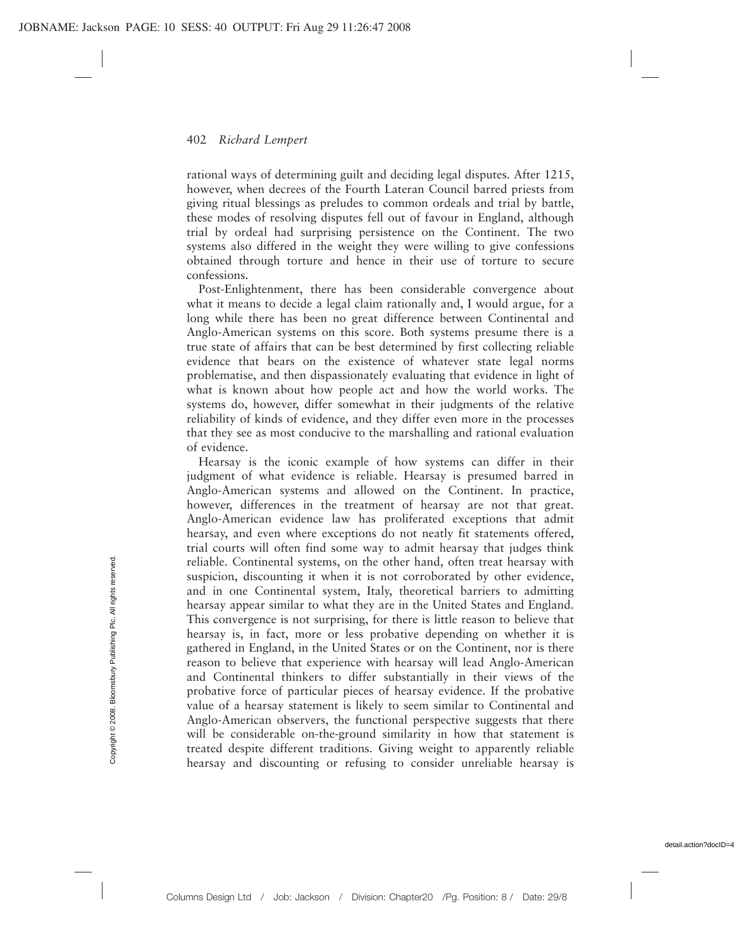rational ways of determining guilt and deciding legal disputes. After 1215, however, when decrees of the Fourth Lateran Council barred priests from giving ritual blessings as preludes to common ordeals and trial by battle, these modes of resolving disputes fell out of favour in England, although trial by ordeal had surprising persistence on the Continent. The two systems also differed in the weight they were willing to give confessions obtained through torture and hence in their use of torture to secure confessions.

Post-Enlightenment, there has been considerable convergence about what it means to decide a legal claim rationally and, I would argue, for a long while there has been no great difference between Continental and Anglo-American systems on this score. Both systems presume there is a true state of affairs that can be best determined by first collecting reliable evidence that bears on the existence of whatever state legal norms problematise, and then dispassionately evaluating that evidence in light of what is known about how people act and how the world works. The systems do, however, differ somewhat in their judgments of the relative reliability of kinds of evidence, and they differ even more in the processes that they see as most conducive to the marshalling and rational evaluation of evidence.

Hearsay is the iconic example of how systems can differ in their judgment of what evidence is reliable. Hearsay is presumed barred in Anglo-American systems and allowed on the Continent. In practice, however, differences in the treatment of hearsay are not that great. Anglo-American evidence law has proliferated exceptions that admit hearsay, and even where exceptions do not neatly fit statements offered, trial courts will often find some way to admit hearsay that judges think reliable. Continental systems, on the other hand, often treat hearsay with suspicion, discounting it when it is not corroborated by other evidence, and in one Continental system, Italy, theoretical barriers to admitting hearsay appear similar to what they are in the United States and England. This convergence is not surprising, for there is little reason to believe that hearsay is, in fact, more or less probative depending on whether it is gathered in England, in the United States or on the Continent, nor is there reason to believe that experience with hearsay will lead Anglo-American and Continental thinkers to differ substantially in their views of the probative force of particular pieces of hearsay evidence. If the probative value of a hearsay statement is likely to seem similar to Continental and Anglo-American observers, the functional perspective suggests that there will be considerable on-the-ground similarity in how that statement is treated despite different traditions. Giving weight to apparently reliable hearsay and discounting or refusing to consider unreliable hearsay is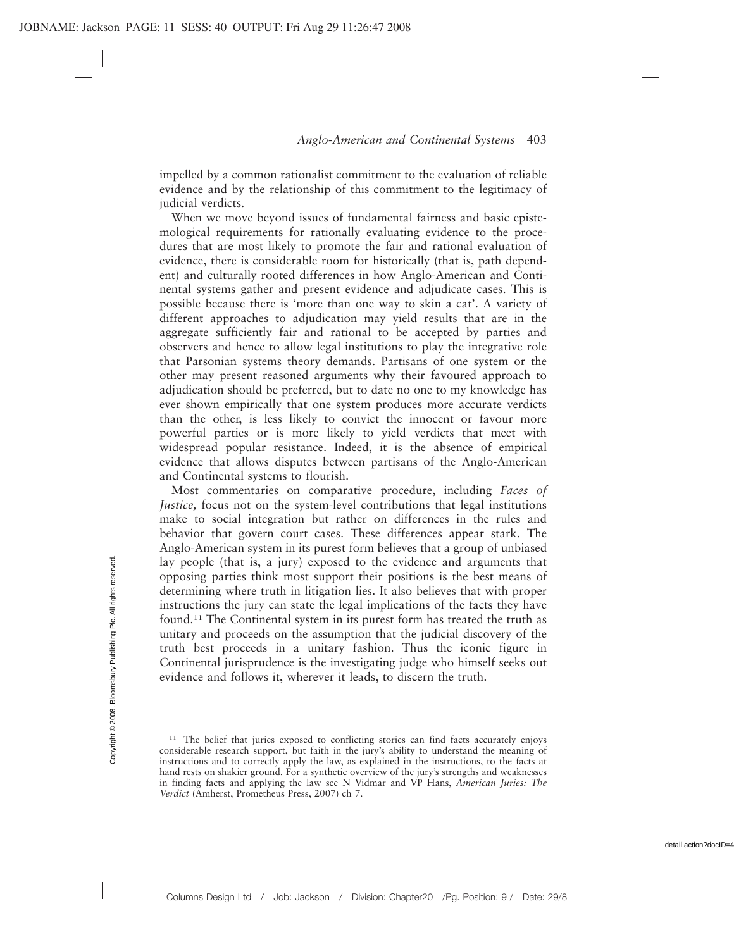impelled by a common rationalist commitment to the evaluation of reliable evidence and by the relationship of this commitment to the legitimacy of judicial verdicts.

When we move beyond issues of fundamental fairness and basic epistemological requirements for rationally evaluating evidence to the procedures that are most likely to promote the fair and rational evaluation of evidence, there is considerable room for historically (that is, path dependent) and culturally rooted differences in how Anglo-American and Continental systems gather and present evidence and adjudicate cases. This is possible because there is 'more than one way to skin a cat'. A variety of different approaches to adjudication may yield results that are in the aggregate sufficiently fair and rational to be accepted by parties and observers and hence to allow legal institutions to play the integrative role that Parsonian systems theory demands. Partisans of one system or the other may present reasoned arguments why their favoured approach to adjudication should be preferred, but to date no one to my knowledge has ever shown empirically that one system produces more accurate verdicts than the other, is less likely to convict the innocent or favour more powerful parties or is more likely to yield verdicts that meet with widespread popular resistance. Indeed, it is the absence of empirical evidence that allows disputes between partisans of the Anglo-American and Continental systems to flourish.

Most commentaries on comparative procedure, including *Faces of Justice,* focus not on the system-level contributions that legal institutions make to social integration but rather on differences in the rules and behavior that govern court cases. These differences appear stark. The Anglo-American system in its purest form believes that a group of unbiased lay people (that is, a jury) exposed to the evidence and arguments that opposing parties think most support their positions is the best means of determining where truth in litigation lies. It also believes that with proper instructions the jury can state the legal implications of the facts they have found.11 The Continental system in its purest form has treated the truth as unitary and proceeds on the assumption that the judicial discovery of the truth best proceeds in a unitary fashion. Thus the iconic figure in Continental jurisprudence is the investigating judge who himself seeks out evidence and follows it, wherever it leads, to discern the truth.

<sup>&</sup>lt;sup>11</sup> The belief that juries exposed to conflicting stories can find facts accurately enjoys considerable research support, but faith in the jury's ability to understand the meaning of instructions and to correctly apply the law, as explained in the instructions, to the facts at hand rests on shakier ground. For a synthetic overview of the jury's strengths and weaknesses in finding facts and applying the law see N Vidmar and VP Hans, *American Juries: The Verdict* (Amherst, Prometheus Press, 2007) ch 7.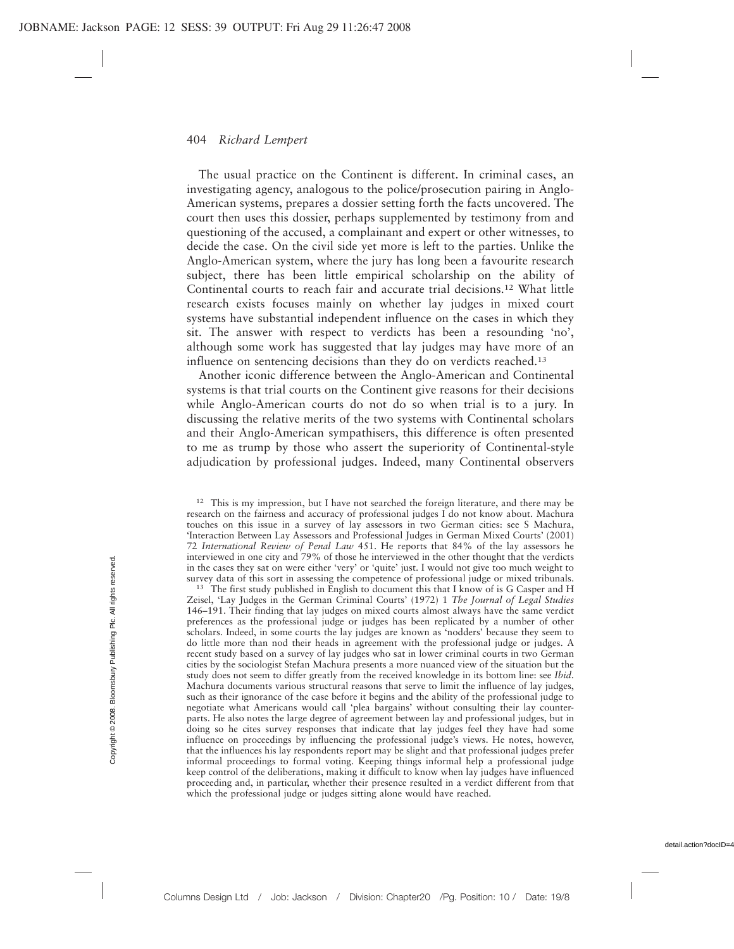The usual practice on the Continent is different. In criminal cases, an investigating agency, analogous to the police/prosecution pairing in Anglo-American systems, prepares a dossier setting forth the facts uncovered. The court then uses this dossier, perhaps supplemented by testimony from and questioning of the accused, a complainant and expert or other witnesses, to decide the case. On the civil side yet more is left to the parties. Unlike the Anglo-American system, where the jury has long been a favourite research subject, there has been little empirical scholarship on the ability of Continental courts to reach fair and accurate trial decisions.12 What little research exists focuses mainly on whether lay judges in mixed court systems have substantial independent influence on the cases in which they sit. The answer with respect to verdicts has been a resounding 'no', although some work has suggested that lay judges may have more of an influence on sentencing decisions than they do on verdicts reached.<sup>13</sup>

Another iconic difference between the Anglo-American and Continental systems is that trial courts on the Continent give reasons for their decisions while Anglo-American courts do not do so when trial is to a jury. In discussing the relative merits of the two systems with Continental scholars and their Anglo-American sympathisers, this difference is often presented to me as trump by those who assert the superiority of Continental-style adjudication by professional judges. Indeed, many Continental observers

<sup>12</sup> This is my impression, but I have not searched the foreign literature, and there may be research on the fairness and accuracy of professional judges I do not know about. Machura touches on this issue in a survey of lay assessors in two German cities: see S Machura, 'Interaction Between Lay Assessors and Professional Judges in German Mixed Courts' (2001) 72 *International Review of Penal Law* 451. He reports that 84% of the lay assessors he interviewed in one city and 79% of those he interviewed in the other thought that the verdicts in the cases they sat on were either 'very' or 'quite' just. I would not give too much weight to survey data of this sort in assessing the competence of professional judge or mixed tribunals.

<sup>13</sup> The first study published in English to document this that I know of is G Casper and H Zeisel, 'Lay Judges in the German Criminal Courts' (1972) 1 *The Journal of Legal Studies* 146–191. Their finding that lay judges on mixed courts almost always have the same verdict preferences as the professional judge or judges has been replicated by a number of other scholars. Indeed, in some courts the lay judges are known as 'nodders' because they seem to do little more than nod their heads in agreement with the professional judge or judges. A recent study based on a survey of lay judges who sat in lower criminal courts in two German cities by the sociologist Stefan Machura presents a more nuanced view of the situation but the study does not seem to differ greatly from the received knowledge in its bottom line: see *Ibid*. Machura documents various structural reasons that serve to limit the influence of lay judges, such as their ignorance of the case before it begins and the ability of the professional judge to negotiate what Americans would call 'plea bargains' without consulting their lay counterparts. He also notes the large degree of agreement between lay and professional judges, but in doing so he cites survey responses that indicate that lay judges feel they have had some influence on proceedings by influencing the professional judge's views. He notes, however, that the influences his lay respondents report may be slight and that professional judges prefer informal proceedings to formal voting. Keeping things informal help a professional judge keep control of the deliberations, making it difficult to know when lay judges have influenced proceeding and, in particular, whether their presence resulted in a verdict different from that which the professional judge or judges sitting alone would have reached.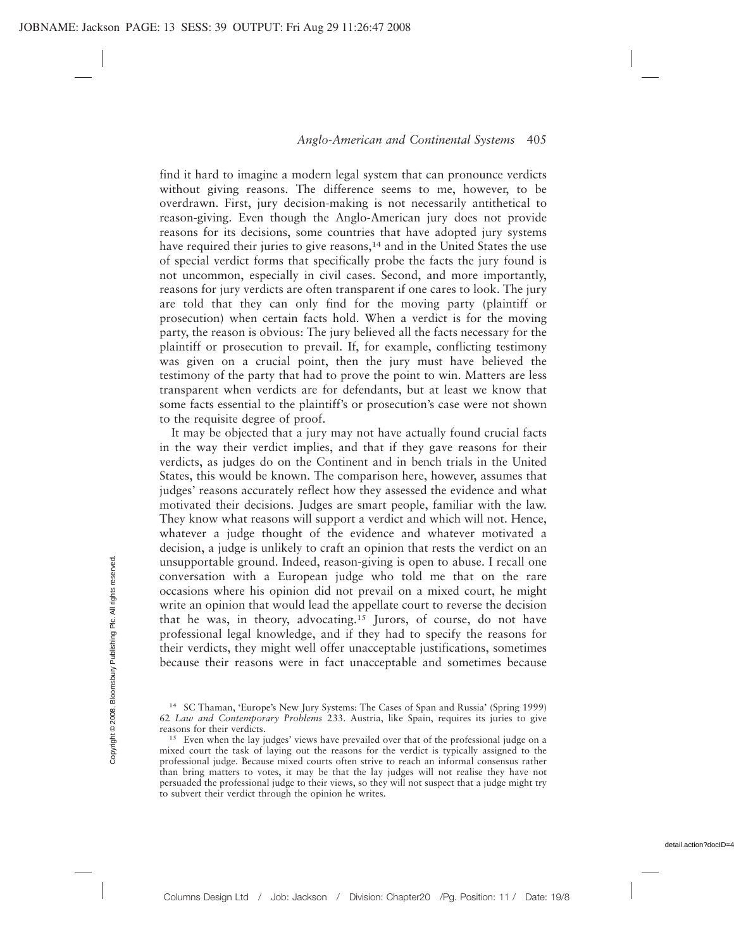find it hard to imagine a modern legal system that can pronounce verdicts without giving reasons. The difference seems to me, however, to be overdrawn. First, jury decision-making is not necessarily antithetical to reason-giving. Even though the Anglo-American jury does not provide reasons for its decisions, some countries that have adopted jury systems have required their juries to give reasons,<sup>14</sup> and in the United States the use of special verdict forms that specifically probe the facts the jury found is not uncommon, especially in civil cases. Second, and more importantly, reasons for jury verdicts are often transparent if one cares to look. The jury are told that they can only find for the moving party (plaintiff or prosecution) when certain facts hold. When a verdict is for the moving party, the reason is obvious: The jury believed all the facts necessary for the plaintiff or prosecution to prevail. If, for example, conflicting testimony was given on a crucial point, then the jury must have believed the testimony of the party that had to prove the point to win. Matters are less transparent when verdicts are for defendants, but at least we know that some facts essential to the plaintiff's or prosecution's case were not shown to the requisite degree of proof.

It may be objected that a jury may not have actually found crucial facts in the way their verdict implies, and that if they gave reasons for their verdicts, as judges do on the Continent and in bench trials in the United States, this would be known. The comparison here, however, assumes that judges' reasons accurately reflect how they assessed the evidence and what motivated their decisions. Judges are smart people, familiar with the law. They know what reasons will support a verdict and which will not. Hence, whatever a judge thought of the evidence and whatever motivated a decision, a judge is unlikely to craft an opinion that rests the verdict on an unsupportable ground. Indeed, reason-giving is open to abuse. I recall one conversation with a European judge who told me that on the rare occasions where his opinion did not prevail on a mixed court, he might write an opinion that would lead the appellate court to reverse the decision that he was, in theory, advocating.15 Jurors, of course, do not have professional legal knowledge, and if they had to specify the reasons for their verdicts, they might well offer unacceptable justifications, sometimes because their reasons were in fact unacceptable and sometimes because

<sup>14</sup> SC Thaman, 'Europe's New Jury Systems: The Cases of Span and Russia' (Spring 1999) 62 *Law and Contemporary Problems* 233. Austria, like Spain, requires its juries to give reasons for their verdicts.

<sup>&</sup>lt;sup>15</sup> Even when the lay judges' views have prevailed over that of the professional judge on a mixed court the task of laying out the reasons for the verdict is typically assigned to the professional judge. Because mixed courts often strive to reach an informal consensus rather than bring matters to votes, it may be that the lay judges will not realise they have not persuaded the professional judge to their views, so they will not suspect that a judge might try to subvert their verdict through the opinion he writes.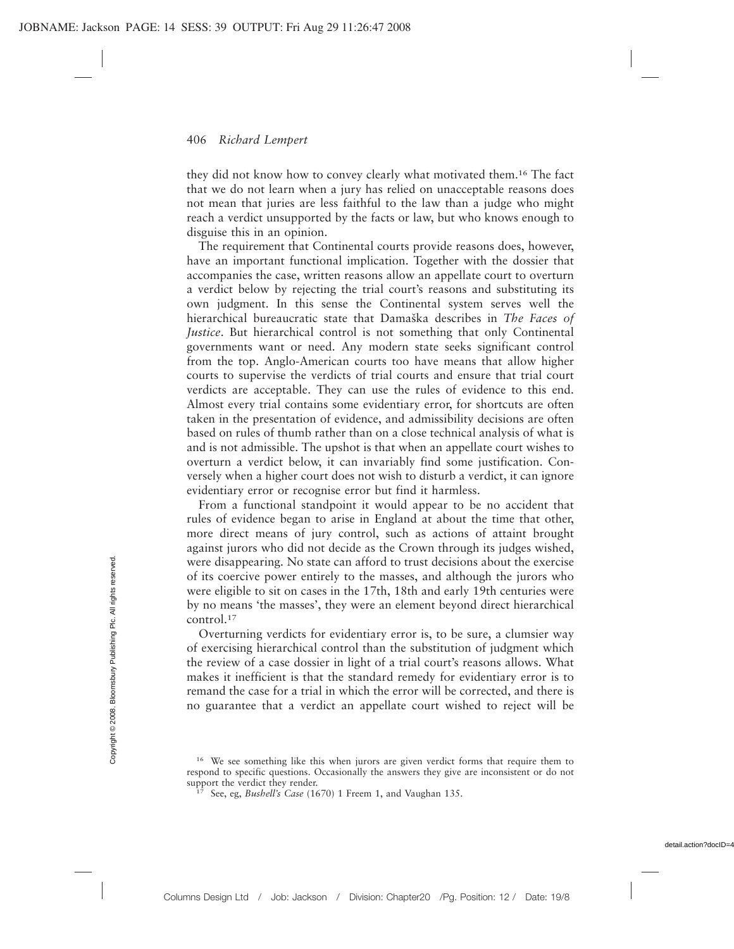they did not know how to convey clearly what motivated them.16 The fact that we do not learn when a jury has relied on unacceptable reasons does not mean that juries are less faithful to the law than a judge who might reach a verdict unsupported by the facts or law, but who knows enough to disguise this in an opinion.

The requirement that Continental courts provide reasons does, however, have an important functional implication. Together with the dossier that accompanies the case, written reasons allow an appellate court to overturn a verdict below by rejecting the trial court's reasons and substituting its own judgment. In this sense the Continental system serves well the hierarchical bureaucratic state that Damaška describes in *The Faces of Justice*. But hierarchical control is not something that only Continental governments want or need. Any modern state seeks significant control from the top. Anglo-American courts too have means that allow higher courts to supervise the verdicts of trial courts and ensure that trial court verdicts are acceptable. They can use the rules of evidence to this end. Almost every trial contains some evidentiary error, for shortcuts are often taken in the presentation of evidence, and admissibility decisions are often based on rules of thumb rather than on a close technical analysis of what is and is not admissible. The upshot is that when an appellate court wishes to overturn a verdict below, it can invariably find some justification. Conversely when a higher court does not wish to disturb a verdict, it can ignore evidentiary error or recognise error but find it harmless.

From a functional standpoint it would appear to be no accident that rules of evidence began to arise in England at about the time that other, more direct means of jury control, such as actions of attaint brought against jurors who did not decide as the Crown through its judges wished, were disappearing. No state can afford to trust decisions about the exercise of its coercive power entirely to the masses, and although the jurors who were eligible to sit on cases in the 17th, 18th and early 19th centuries were by no means 'the masses', they were an element beyond direct hierarchical control.17

Overturning verdicts for evidentiary error is, to be sure, a clumsier way of exercising hierarchical control than the substitution of judgment which the review of a case dossier in light of a trial court's reasons allows. What makes it inefficient is that the standard remedy for evidentiary error is to remand the case for a trial in which the error will be corrected, and there is no guarantee that a verdict an appellate court wished to reject will be

<sup>&</sup>lt;sup>16</sup> We see something like this when jurors are given verdict forms that require them to respond to specific questions. Occasionally the answers they give are inconsistent or do not support the verdict they render.

See, eg, *Bushell's Case* (1670) 1 Freem 1, and Vaughan 135.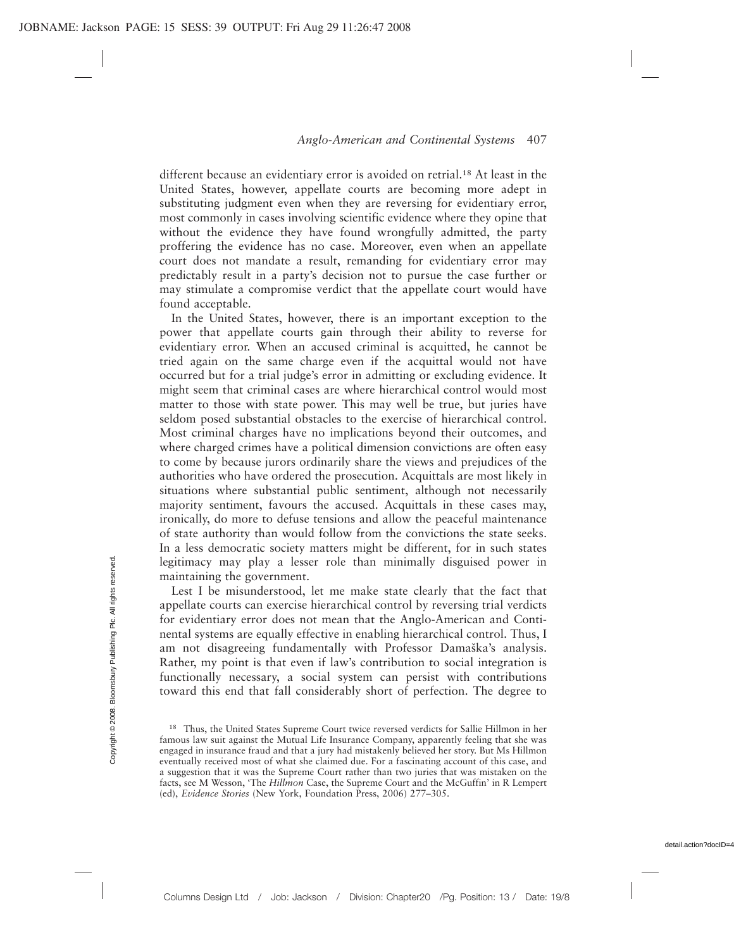different because an evidentiary error is avoided on retrial.18 At least in the United States, however, appellate courts are becoming more adept in substituting judgment even when they are reversing for evidentiary error, most commonly in cases involving scientific evidence where they opine that without the evidence they have found wrongfully admitted, the party proffering the evidence has no case. Moreover, even when an appellate court does not mandate a result, remanding for evidentiary error may predictably result in a party's decision not to pursue the case further or may stimulate a compromise verdict that the appellate court would have found acceptable.

In the United States, however, there is an important exception to the power that appellate courts gain through their ability to reverse for evidentiary error. When an accused criminal is acquitted, he cannot be tried again on the same charge even if the acquittal would not have occurred but for a trial judge's error in admitting or excluding evidence. It might seem that criminal cases are where hierarchical control would most matter to those with state power. This may well be true, but juries have seldom posed substantial obstacles to the exercise of hierarchical control. Most criminal charges have no implications beyond their outcomes, and where charged crimes have a political dimension convictions are often easy to come by because jurors ordinarily share the views and prejudices of the authorities who have ordered the prosecution. Acquittals are most likely in situations where substantial public sentiment, although not necessarily majority sentiment, favours the accused. Acquittals in these cases may, ironically, do more to defuse tensions and allow the peaceful maintenance of state authority than would follow from the convictions the state seeks. In a less democratic society matters might be different, for in such states legitimacy may play a lesser role than minimally disguised power in maintaining the government.

Lest I be misunderstood, let me make state clearly that the fact that appellate courts can exercise hierarchical control by reversing trial verdicts for evidentiary error does not mean that the Anglo-American and Continental systems are equally effective in enabling hierarchical control. Thus, I am not disagreeing fundamentally with Professor Damaška's analysis. Rather, my point is that even if law's contribution to social integration is functionally necessary, a social system can persist with contributions toward this end that fall considerably short of perfection. The degree to

<sup>&</sup>lt;sup>18</sup> Thus, the United States Supreme Court twice reversed verdicts for Sallie Hillmon in her famous law suit against the Mutual Life Insurance Company, apparently feeling that she was engaged in insurance fraud and that a jury had mistakenly believed her story. But Ms Hillmon eventually received most of what she claimed due. For a fascinating account of this case, and a suggestion that it was the Supreme Court rather than two juries that was mistaken on the facts, see M Wesson, 'The *Hillmon* Case, the Supreme Court and the McGuffin' in R Lempert (ed), *Evidence Stories* (New York, Foundation Press, 2006) 277–305.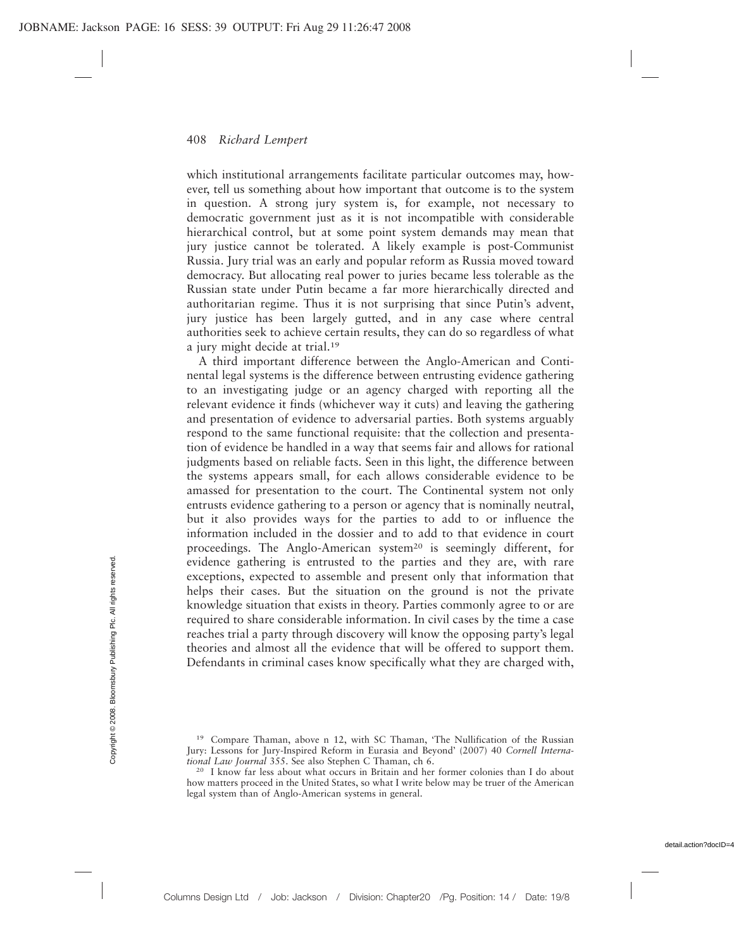which institutional arrangements facilitate particular outcomes may, however, tell us something about how important that outcome is to the system in question. A strong jury system is, for example, not necessary to democratic government just as it is not incompatible with considerable hierarchical control, but at some point system demands may mean that jury justice cannot be tolerated. A likely example is post-Communist Russia. Jury trial was an early and popular reform as Russia moved toward democracy. But allocating real power to juries became less tolerable as the Russian state under Putin became a far more hierarchically directed and authoritarian regime. Thus it is not surprising that since Putin's advent, jury justice has been largely gutted, and in any case where central authorities seek to achieve certain results, they can do so regardless of what a jury might decide at trial.<sup>19</sup>

A third important difference between the Anglo-American and Continental legal systems is the difference between entrusting evidence gathering to an investigating judge or an agency charged with reporting all the relevant evidence it finds (whichever way it cuts) and leaving the gathering and presentation of evidence to adversarial parties. Both systems arguably respond to the same functional requisite: that the collection and presentation of evidence be handled in a way that seems fair and allows for rational judgments based on reliable facts. Seen in this light, the difference between the systems appears small, for each allows considerable evidence to be amassed for presentation to the court. The Continental system not only entrusts evidence gathering to a person or agency that is nominally neutral, but it also provides ways for the parties to add to or influence the information included in the dossier and to add to that evidence in court proceedings. The Anglo-American system<sup>20</sup> is seemingly different, for evidence gathering is entrusted to the parties and they are, with rare exceptions, expected to assemble and present only that information that helps their cases. But the situation on the ground is not the private knowledge situation that exists in theory. Parties commonly agree to or are required to share considerable information. In civil cases by the time a case reaches trial a party through discovery will know the opposing party's legal theories and almost all the evidence that will be offered to support them. Defendants in criminal cases know specifically what they are charged with,

<sup>&</sup>lt;sup>19</sup> Compare Thaman, above n 12, with SC Thaman, 'The Nullification of the Russian Jury: Lessons for Jury-Inspired Reform in Eurasia and Beyond' (2007) 40 *Cornell International Law Journal* 355. See also Stephen C Thaman, ch 6.

<sup>&</sup>lt;sup>20</sup> I know far less about what occurs in Britain and her former colonies than I do about how matters proceed in the United States, so what I write below may be truer of the American legal system than of Anglo-American systems in general.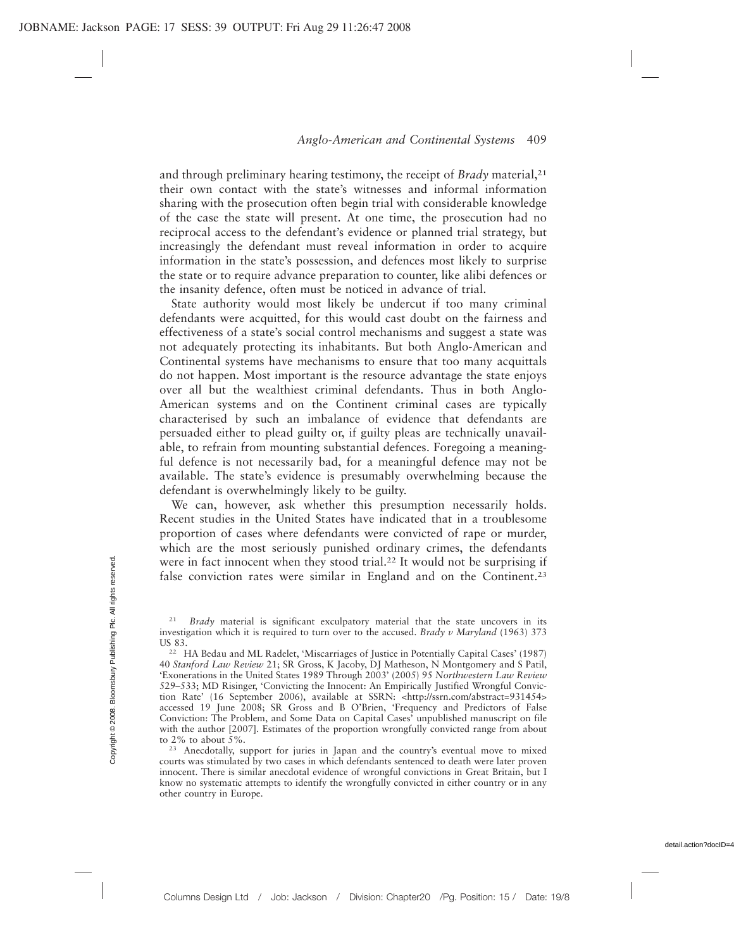and through preliminary hearing testimony, the receipt of *Brady* material,<sup>21</sup> their own contact with the state's witnesses and informal information sharing with the prosecution often begin trial with considerable knowledge of the case the state will present. At one time, the prosecution had no reciprocal access to the defendant's evidence or planned trial strategy, but increasingly the defendant must reveal information in order to acquire information in the state's possession, and defences most likely to surprise the state or to require advance preparation to counter, like alibi defences or the insanity defence, often must be noticed in advance of trial.

State authority would most likely be undercut if too many criminal defendants were acquitted, for this would cast doubt on the fairness and effectiveness of a state's social control mechanisms and suggest a state was not adequately protecting its inhabitants. But both Anglo-American and Continental systems have mechanisms to ensure that too many acquittals do not happen. Most important is the resource advantage the state enjoys over all but the wealthiest criminal defendants. Thus in both Anglo-American systems and on the Continent criminal cases are typically characterised by such an imbalance of evidence that defendants are persuaded either to plead guilty or, if guilty pleas are technically unavailable, to refrain from mounting substantial defences. Foregoing a meaningful defence is not necessarily bad, for a meaningful defence may not be available. The state's evidence is presumably overwhelming because the defendant is overwhelmingly likely to be guilty.

We can, however, ask whether this presumption necessarily holds. Recent studies in the United States have indicated that in a troublesome proportion of cases where defendants were convicted of rape or murder, which are the most seriously punished ordinary crimes, the defendants were in fact innocent when they stood trial.<sup>22</sup> It would not be surprising if false conviction rates were similar in England and on the Continent.<sup>23</sup>

<sup>&</sup>lt;sup>21</sup> *Brady* material is significant exculpatory material that the state uncovers in its investigation which it is required to turn over to the accused. *Brady v Maryland* (1963) 373 US 83.

<sup>&</sup>lt;sup>22</sup> HA Bedau and ML Radelet, 'Miscarriages of Justice in Potentially Capital Cases' (1987) 40 *Stanford Law Review* 21; SR Gross, K Jacoby, DJ Matheson, N Montgomery and S Patil, 'Exonerations in the United States 1989 Through 2003' (2005) 95 *Northwestern Law Review* 529–533; MD Risinger, 'Convicting the Innocent: An Empirically Justified Wrongful Conviction Rate' (16 September 2006), available at SSRN: <http://ssrn.com/abstract=931454> accessed 19 June 2008; SR Gross and B O'Brien, 'Frequency and Predictors of False Conviction: The Problem, and Some Data on Capital Cases' unpublished manuscript on file with the author [2007]. Estimates of the proportion wrongfully convicted range from about to 2% to about 5%.

<sup>&</sup>lt;sup>23</sup> Anecdotally, support for juries in Japan and the country's eventual move to mixed courts was stimulated by two cases in which defendants sentenced to death were later proven innocent. There is similar anecdotal evidence of wrongful convictions in Great Britain, but I know no systematic attempts to identify the wrongfully convicted in either country or in any other country in Europe.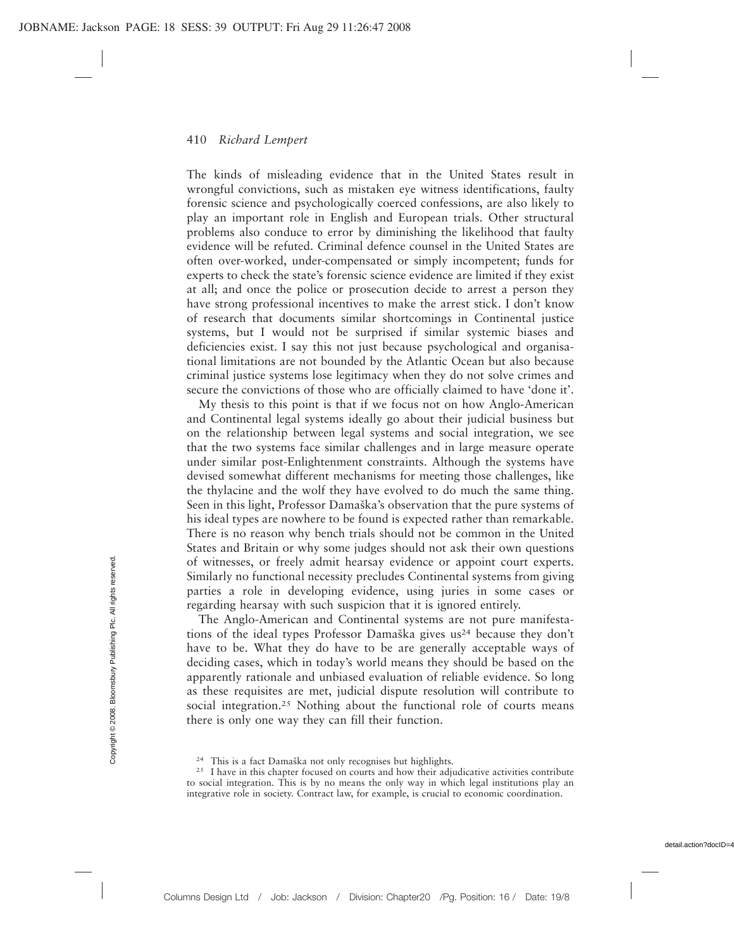The kinds of misleading evidence that in the United States result in wrongful convictions, such as mistaken eye witness identifications, faulty forensic science and psychologically coerced confessions, are also likely to play an important role in English and European trials. Other structural problems also conduce to error by diminishing the likelihood that faulty evidence will be refuted. Criminal defence counsel in the United States are often over-worked, under-compensated or simply incompetent; funds for experts to check the state's forensic science evidence are limited if they exist at all; and once the police or prosecution decide to arrest a person they have strong professional incentives to make the arrest stick. I don't know of research that documents similar shortcomings in Continental justice systems, but I would not be surprised if similar systemic biases and deficiencies exist. I say this not just because psychological and organisational limitations are not bounded by the Atlantic Ocean but also because criminal justice systems lose legitimacy when they do not solve crimes and secure the convictions of those who are officially claimed to have 'done it'.

My thesis to this point is that if we focus not on how Anglo-American and Continental legal systems ideally go about their judicial business but on the relationship between legal systems and social integration, we see that the two systems face similar challenges and in large measure operate under similar post-Enlightenment constraints. Although the systems have devised somewhat different mechanisms for meeting those challenges, like the thylacine and the wolf they have evolved to do much the same thing. Seen in this light, Professor Damaška's observation that the pure systems of his ideal types are nowhere to be found is expected rather than remarkable. There is no reason why bench trials should not be common in the United States and Britain or why some judges should not ask their own questions of witnesses, or freely admit hearsay evidence or appoint court experts. Similarly no functional necessity precludes Continental systems from giving parties a role in developing evidence, using juries in some cases or regarding hearsay with such suspicion that it is ignored entirely.

The Anglo-American and Continental systems are not pure manifestations of the ideal types Professor Damaška gives us<sup>24</sup> because they don't have to be. What they do have to be are generally acceptable ways of deciding cases, which in today's world means they should be based on the apparently rationale and unbiased evaluation of reliable evidence. So long as these requisites are met, judicial dispute resolution will contribute to social integration.<sup>25</sup> Nothing about the functional role of courts means there is only one way they can fill their function.

<sup>&</sup>lt;sup>24</sup> This is a fact Damaška not only recognises but highlights.

<sup>&</sup>lt;sup>25</sup> I have in this chapter focused on courts and how their adjudicative activities contribute to social integration. This is by no means the only way in which legal institutions play an integrative role in society. Contract law, for example, is crucial to economic coordination.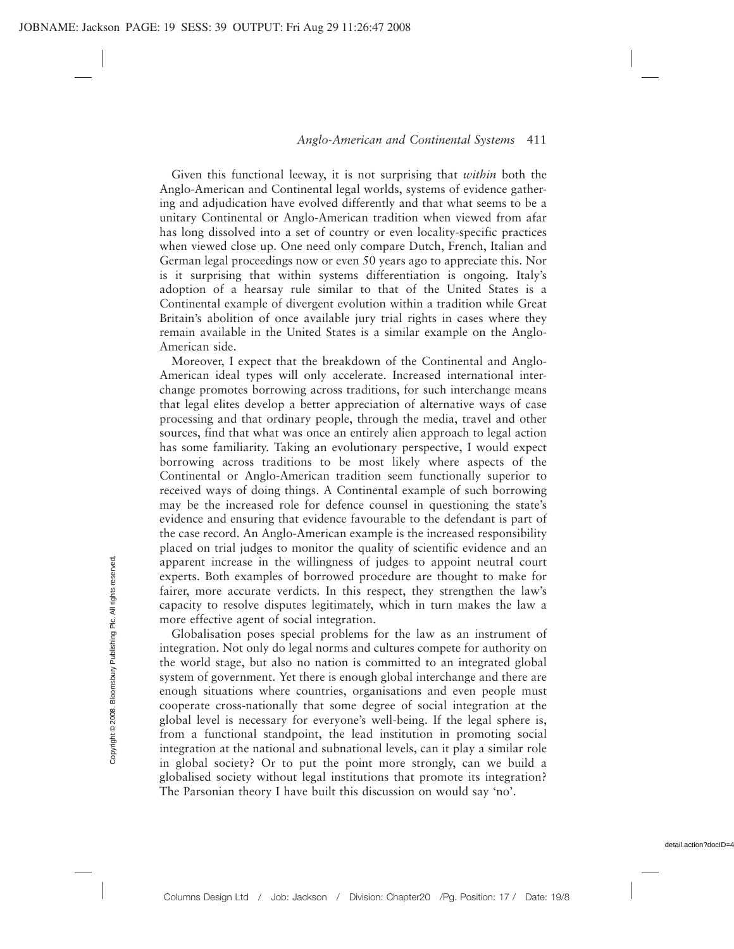Given this functional leeway, it is not surprising that *within* both the Anglo-American and Continental legal worlds, systems of evidence gathering and adjudication have evolved differently and that what seems to be a unitary Continental or Anglo-American tradition when viewed from afar has long dissolved into a set of country or even locality-specific practices when viewed close up. One need only compare Dutch, French, Italian and German legal proceedings now or even 50 years ago to appreciate this. Nor is it surprising that within systems differentiation is ongoing. Italy's adoption of a hearsay rule similar to that of the United States is a Continental example of divergent evolution within a tradition while Great Britain's abolition of once available jury trial rights in cases where they remain available in the United States is a similar example on the Anglo-American side.

Moreover, I expect that the breakdown of the Continental and Anglo-American ideal types will only accelerate. Increased international interchange promotes borrowing across traditions, for such interchange means that legal elites develop a better appreciation of alternative ways of case processing and that ordinary people, through the media, travel and other sources, find that what was once an entirely alien approach to legal action has some familiarity. Taking an evolutionary perspective, I would expect borrowing across traditions to be most likely where aspects of the Continental or Anglo-American tradition seem functionally superior to received ways of doing things. A Continental example of such borrowing may be the increased role for defence counsel in questioning the state's evidence and ensuring that evidence favourable to the defendant is part of the case record. An Anglo-American example is the increased responsibility placed on trial judges to monitor the quality of scientific evidence and an apparent increase in the willingness of judges to appoint neutral court experts. Both examples of borrowed procedure are thought to make for fairer, more accurate verdicts. In this respect, they strengthen the law's capacity to resolve disputes legitimately, which in turn makes the law a more effective agent of social integration.

Globalisation poses special problems for the law as an instrument of integration. Not only do legal norms and cultures compete for authority on the world stage, but also no nation is committed to an integrated global system of government. Yet there is enough global interchange and there are enough situations where countries, organisations and even people must cooperate cross-nationally that some degree of social integration at the global level is necessary for everyone's well-being. If the legal sphere is, from a functional standpoint, the lead institution in promoting social integration at the national and subnational levels, can it play a similar role in global society? Or to put the point more strongly, can we build a globalised society without legal institutions that promote its integration? The Parsonian theory I have built this discussion on would say 'no'.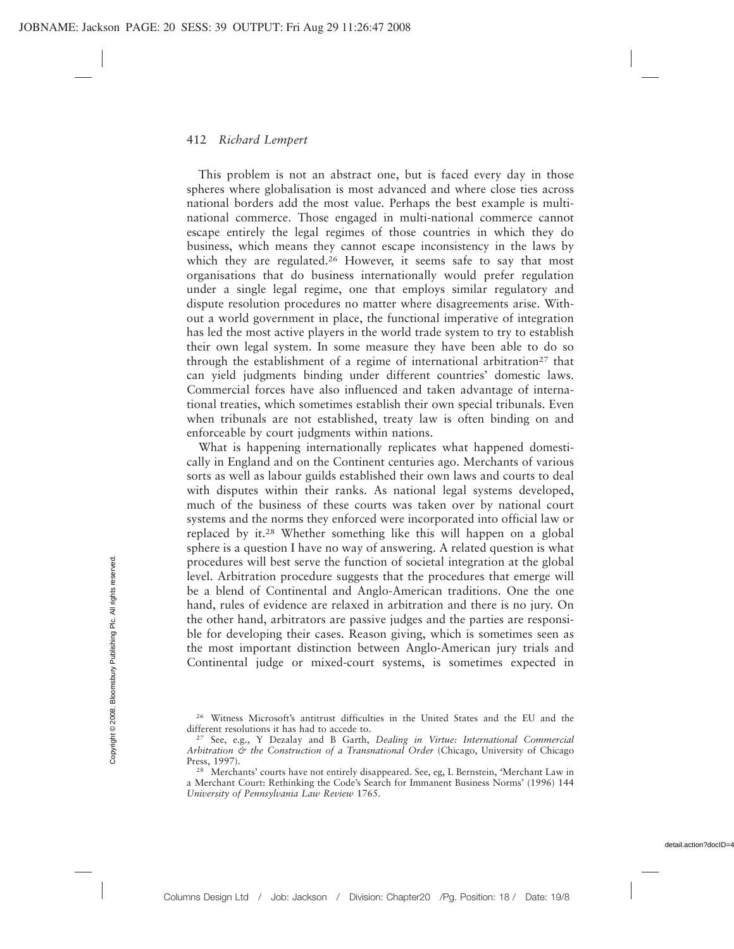This problem is not an abstract one, but is faced every day in those spheres where globalisation is most advanced and where close ties across national borders add the most value. Perhaps the best example is multinational commerce. Those engaged in multi-national commerce cannot escape entirely the legal regimes of those countries in which they do business, which means they cannot escape inconsistency in the laws by which they are regulated.<sup>26</sup> However, it seems safe to say that most organisations that do business internationally would prefer regulation under a single legal regime, one that employs similar regulatory and dispute resolution procedures no matter where disagreements arise. Without a world government in place, the functional imperative of integration has led the most active players in the world trade system to try to establish their own legal system. In some measure they have been able to do so through the establishment of a regime of international arbitration<sup>27</sup> that can yield judgments binding under different countries' domestic laws. Commercial forces have also influenced and taken advantage of international treaties, which sometimes establish their own special tribunals. Even when tribunals are not established, treaty law is often binding on and enforceable by court judgments within nations.

What is happening internationally replicates what happened domestically in England and on the Continent centuries ago. Merchants of various sorts as well as labour guilds established their own laws and courts to deal with disputes within their ranks. As national legal systems developed, much of the business of these courts was taken over by national court systems and the norms they enforced were incorporated into official law or replaced by it.28 Whether something like this will happen on a global sphere is a question I have no way of answering. A related question is what procedures will best serve the function of societal integration at the global level. Arbitration procedure suggests that the procedures that emerge will be a blend of Continental and Anglo-American traditions. One the one hand, rules of evidence are relaxed in arbitration and there is no jury. On the other hand, arbitrators are passive judges and the parties are responsible for developing their cases. Reason giving, which is sometimes seen as the most important distinction between Anglo-American jury trials and Continental judge or mixed-court systems, is sometimes expected in

<sup>26</sup> Witness Microsoft's antitrust difficulties in the United States and the EU and the different resolutions it has had to accede to.

<sup>27</sup> See, e.g., Y Dezalay and B Garth, *Dealing in Virtue: International Commercial Arbitration & the Construction of a Transnational Order* (Chicago, University of Chicago Press, 1997).

<sup>28</sup> Merchants' courts have not entirely disappeared. See, eg, L Bernstein, *'*Merchant Law in a Merchant Court: Rethinking the Code's Search for Immanent Business Norms' (1996) 144 *University of Pennsylvania Law Review* 1765.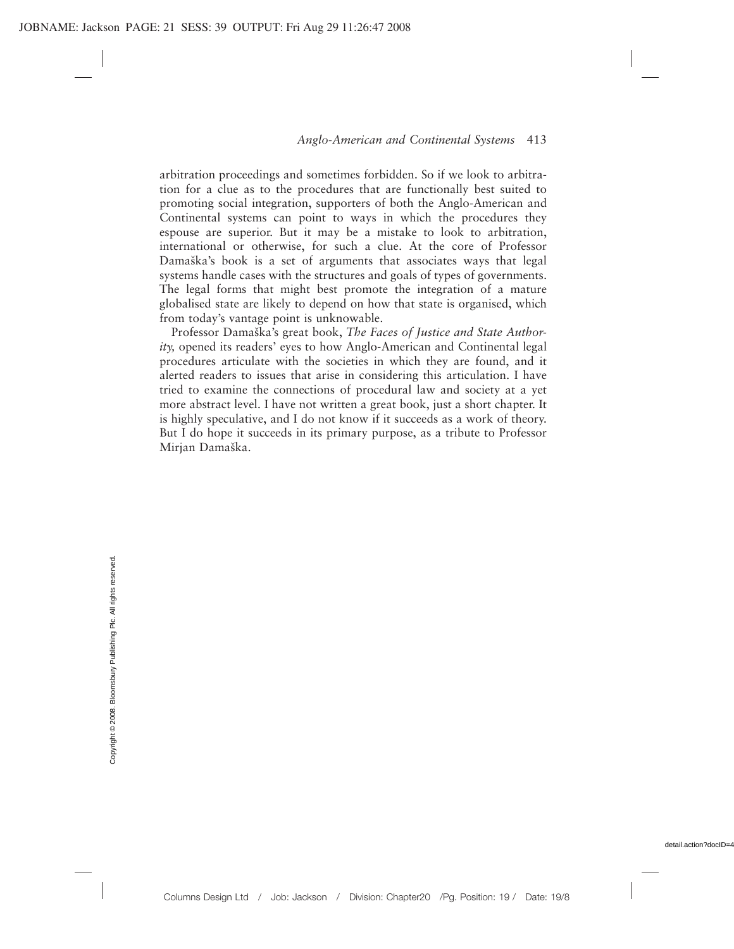arbitration proceedings and sometimes forbidden. So if we look to arbitration for a clue as to the procedures that are functionally best suited to promoting social integration, supporters of both the Anglo-American and Continental systems can point to ways in which the procedures they espouse are superior. But it may be a mistake to look to arbitration, international or otherwise, for such a clue. At the core of Professor Damaška's book is a set of arguments that associates ways that legal systems handle cases with the structures and goals of types of governments. The legal forms that might best promote the integration of a mature globalised state are likely to depend on how that state is organised, which from today's vantage point is unknowable.

Professor Damaška's great book, *The Faces of Justice and State Authority,* opened its readers' eyes to how Anglo-American and Continental legal procedures articulate with the societies in which they are found, and it alerted readers to issues that arise in considering this articulation. I have tried to examine the connections of procedural law and society at a yet more abstract level. I have not written a great book, just a short chapter. It is highly speculative, and I do not know if it succeeds as a work of theory. But I do hope it succeeds in its primary purpose, as a tribute to Professor Mirjan Damaška.